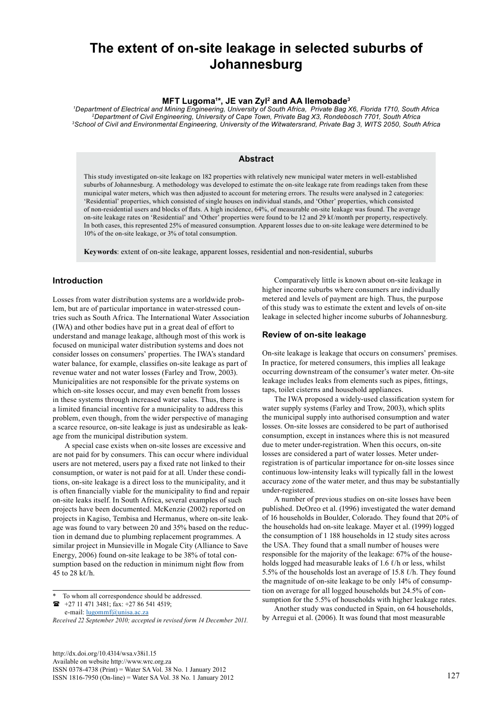# **The extent of on-site leakage in selected suburbs of Johannesburg**

## **MFT Lugoma1 \*, JE van Zyl2 and AA Ilemobade3**

<sup>1</sup>Department of Electrical and Mining Engineering. University of South Africa. Private Bag X6. Florida 1710, South Africa 2Department of Civil Engineering, University of Cape Town, Private Bag X3, Rondebosch 7701, South Africa<br>3Department of Civil Engineering, University of Cape Town, Private Bag X3, Rondebosch 7701, South Africa<br>3School of C

#### **Abstract**

This study investigated on-site leakage on 182 properties with relatively new municipal water meters in well-established suburbs of Johannesburg. A methodology was developed to estimate the on-site leakage rate from readings taken from these municipal water meters, which was then adjusted to account for metering errors. The results were analysed in 2 categories: 'Residential' properties, which consisted of single houses on individual stands, and 'Other' properties, which consisted of non-residential users and blocks of flats. A high incidence, 64%, of measurable on-site leakage was found. The average on-site leakage rates on 'Residential' and 'Other' properties were found to be 12 and 29 kℓ/month per property, respectively. In both cases, this represented 25% of measured consumption. Apparent losses due to on-site leakage were determined to be 10% of the on-site leakage, or 3% of total consumption.

**Keywords**: extent of on-site leakage, apparent losses, residential and non-residential, suburbs

# **Introduction**

Losses from water distribution systems are a worldwide problem, but are of particular importance in water-stressed countries such as South Africa. The International Water Association (IWA) and other bodies have put in a great deal of effort to understand and manage leakage, although most of this work is focused on municipal water distribution systems and does not consider losses on consumers' properties. The IWA's standard water balance, for example, classifies on-site leakage as part of revenue water and not water losses (Farley and Trow, 2003). Municipalities are not responsible for the private systems on which on-site losses occur, and may even benefit from losses in these systems through increased water sales. Thus, there is a limited financial incentive for a municipality to address this problem, even though, from the wider perspective of managing a scarce resource, on-site leakage is just as undesirable as leakage from the municipal distribution system.

A special case exists when on-site losses are excessive and are not paid for by consumers. This can occur where individual users are not metered, users pay a fixed rate not linked to their consumption, or water is not paid for at all. Under these conditions, on-site leakage is a direct loss to the municipality, and it is often financially viable for the municipality to find and repair on-site leaks itself. In South Africa, several examples of such projects have been documented. McKenzie (2002) reported on projects in Kagiso, Tembisa and Hermanus, where on-site leakage was found to vary between 20 and 35% based on the reduction in demand due to plumbing replacement programmes. A similar project in Munsieville in Mogale City (Alliance to Save Energy, 2006) found on-site leakage to be 38% of total consumption based on the reduction in minimum night flow from 45 to 28 kℓ/h.

 +27 11 471 3481; fax: +27 86 541 4519; e-mail: lugommf@unisa.ac.za

[http://dx.doi.org/10.4314/wsa.v38i1.15](http://dx.doi.org/10.4314/wsa.v37i4.18) Available on website http://www.wrc.org.za ISSN 0378-4738 (Print) = Water SA Vol. 38 No. 1 January 2012 ISSN 1816-7950 (On-line) = Water SA Vol. 38 No. 1 January 2012 127

Comparatively little is known about on-site leakage in higher income suburbs where consumers are individually metered and levels of payment are high. Thus, the purpose of this study was to estimate the extent and levels of on-site leakage in selected higher income suburbs of Johannesburg.

#### **Review of on-site leakage**

On-site leakage is leakage that occurs on consumers' premises. In practice, for metered consumers, this implies all leakage occurring downstream of the consumer's water meter. On-site leakage includes leaks from elements such as pipes, fittings, taps, toilet cisterns and household appliances.

The IWA proposed a widely-used classification system for water supply systems (Farley and Trow, 2003), which splits the municipal supply into authorised consumption and water losses. On-site losses are considered to be part of authorised consumption, except in instances where this is not measured due to meter under-registration. When this occurs, on-site losses are considered a part of water losses. Meter underregistration is of particular importance for on-site losses since continuous low-intensity leaks will typically fall in the lowest accuracy zone of the water meter, and thus may be substantially under-registered.

A number of previous studies on on-site losses have been published. DeOreo et al. (1996) investigated the water demand of 16 households in Boulder, Colorado. They found that 20% of the households had on-site leakage. Mayer et al. (1999) logged the consumption of 1 188 households in 12 study sites across the USA. They found that a small number of houses were responsible for the majority of the leakage: 67% of the households logged had measurable leaks of 1.6 ℓ/h or less, whilst 5.5% of the households lost an average of 15.8 ℓ/h. They found the magnitude of on-site leakage to be only 14% of consumption on average for all logged households but 24.5% of consumption for the 5.5% of households with higher leakage rates.

Another study was conducted in Spain, on 64 households, by Arregui et al. (2006). It was found that most measurable

To whom all correspondence should be addressed.

*Received 22 September 2010; accepted in revised form 14 December 2011.*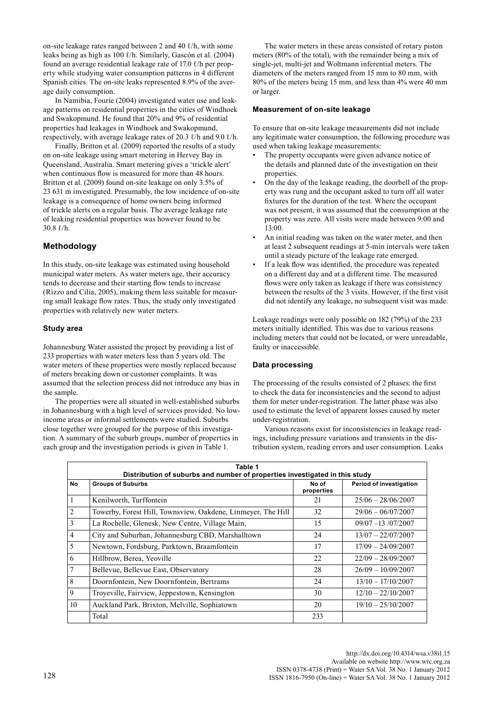on-site leakage rates ranged between 2 and 40 ℓ/h, with some leaks being as high as 100 ℓ/h. Similarly, Gascón et al. (2004) found an average residential leakage rate of 17.0  $\ell$ /h per property while studying water consumption patterns in 4 different Spanish cities. The on-site leaks represented 8.9% of the average daily consumption.

In Namibia, Fourie (2004) investigated water use and leakage patterns on residential properties in the cities of Windhoek and Swakopmund. He found that 20% and 9% of residential properties had leakages in Windhoek and Swakopmund, respectively, with average leakage rates of 20.3 ℓ/h and 9.0 ℓ/h.

Finally, Britton et al. (2009) reported the results of a study on on-site leakage using smart metering in Hervey Bay in Queensland, Australia. Smart metering gives a 'trickle alert' when continuous flow is measured for more than 48 hours. Britton et al. (2009) found on-site leakage on only 3.5% of 23 631 m investigated. Presumably, the low incidence of on-site leakage is a consequence of home owners being informed of trickle alerts on a regular basis. The average leakage rate of leaking residential properties was however found to be 30.8 ℓ/h.

# **Methodology**

In this study, on-site leakage was estimated using household municipal water meters. As water meters age, their accuracy tends to decrease and their starting flow tends to increase (Rizzo and Cilia, 2005), making them less suitable for measuring small leakage flow rates. Thus, the study only investigated properties with relatively new water meters.

# **Study area**

Johannesburg Water assisted the project by providing a list of 233 properties with water meters less than 5 years old. The water meters of these properties were mostly replaced because of meters breaking down or customer complaints. It was assumed that the selection process did not introduce any bias in the sample.

The properties were all situated in well-established suburbs in Johannesburg with a high level of services provided. No lowincome areas or informal settlements were studied. Suburbs close together were grouped for the purpose of this investigation. A summary of the suburb groups, number of properties in each group and the investigation periods is given in Table 1.

The water meters in these areas consisted of rotary piston meters (80% of the total), with the remainder being a mix of single-jet, multi-jet and Woltmann inferential meters. The diameters of the meters ranged from 15 mm to 80 mm, with 80% of the meters being 15 mm, and less than 4% were 40 mm or larger.

## **Measurement of on-site leakage**

To ensure that on-site leakage measurements did not include any legitimate water consumption, the following procedure was used when taking leakage measurements:

- The property occupants were given advance notice of the details and planned date of the investigation on their properties.
- On the day of the leakage reading, the doorbell of the property was rung and the occupant asked to turn off all water fixtures for the duration of the test. Where the occupant was not present, it was assumed that the consumption at the property was zero. All visits were made between 9:00 and 13:00.
- An initial reading was taken on the water meter, and then at least 2 subsequent readings at 5-min intervals were taken until a steady picture of the leakage rate emerged.
- If a leak flow was identified, the procedure was repeated on a different day and at a different time. The measured flows were only taken as leakage if there was consistency between the results of the 3 visits. However, if the first visit did not identify any leakage, no subsequent visit was made.

Leakage readings were only possible on 182 (79%) of the 233 meters initially identified. This was due to various reasons including meters that could not be located, or were unreadable, faulty or inaccessible.

# **Data processing**

The processing of the results consisted of 2 phases: the first to check the data for inconsistencies and the second to adjust them for meter under-registration. The latter phase was also used to estimate the level of apparent losses caused by meter under-registration.

Various reasons exist for inconsistencies in leakage readings, including pressure variations and transients in the distribution system, reading errors and user consumption. Leaks

| Table 1<br>Distribution of suburbs and number of properties investigated in this study |                                                              |                     |                         |  |  |
|----------------------------------------------------------------------------------------|--------------------------------------------------------------|---------------------|-------------------------|--|--|
| <b>No</b>                                                                              | <b>Groups of Suburbs</b>                                     | No of<br>properties | Period of investigation |  |  |
| $\mathbf{1}$                                                                           | Kenilworth, Turffontein                                      | 21                  | $25/06 - 28/06/2007$    |  |  |
| $\overline{2}$                                                                         | Towerby, Forest Hill, Townsview, Oakdene, Linmeyer, The Hill | 32                  | $29/06 - 06/07/2007$    |  |  |
| $\mathfrak{Z}$                                                                         | La Rochelle, Glenesk, New Centre, Village Main,              | 15                  | $09/07 - 13/07/2007$    |  |  |
| $\overline{4}$                                                                         | City and Suburban, Johannesburg CBD, Marshalltown            | 24                  | $13/07 - 22/07/2007$    |  |  |
| 5                                                                                      | Newtown, Fordsburg, Parktown, Braamfontein                   | 17                  | $17/09 - 24/09/2007$    |  |  |
| 6                                                                                      | Hillbrow, Berea, Yeoville                                    | 22                  | $22/09 - 28/09/2007$    |  |  |
| $\tau$                                                                                 | Bellevue, Bellevue East, Observatory                         | 28                  | $26/09 - 10/09/2007$    |  |  |
| 8                                                                                      | Doornfontein, New Doornfontein, Bertrams                     | 24                  | $13/10 - 17/10/2007$    |  |  |
| 9                                                                                      | Troyeville, Fairview, Jeppestown, Kensington                 | 30                  | $12/10 - 22/10/2007$    |  |  |
| 10                                                                                     | Auckland Park, Brixton, Melville, Sophiatown                 | 20                  | $19/10 - 25/10/2007$    |  |  |
|                                                                                        | Total                                                        | 233                 |                         |  |  |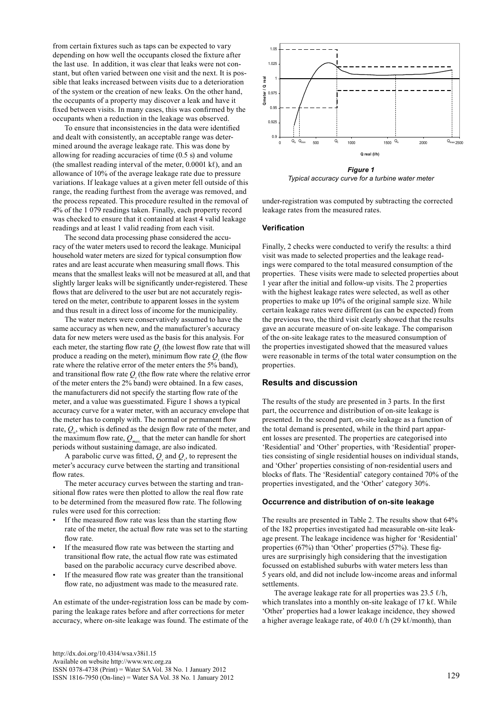from certain fixtures such as taps can be expected to vary depending on how well the occupants closed the fixture after the last use. In addition, it was clear that leaks were not constant, but often varied between one visit and the next. It is possible that leaks increased between visits due to a deterioration of the system or the creation of new leaks. On the other hand, the occupants of a property may discover a leak and have it fixed between visits. In many cases, this was confirmed by the occupants when a reduction in the leakage was observed.

To ensure that inconsistencies in the data were identified and dealt with consistently, an acceptable range was determined around the average leakage rate. This was done by allowing for reading accuracies of time (0.5 s) and volume (the smallest reading interval of the meter,  $0.0001 \text{ k}$ ), and an allowance of 10% of the average leakage rate due to pressure variations. If leakage values at a given meter fell outside of this range, the reading furthest from the average was removed, and the process repeated. This procedure resulted in the removal of 4% of the 1 079 readings taken. Finally, each property record was checked to ensure that it contained at least 4 valid leakage readings and at least 1 valid reading from each visit.

The second data processing phase considered the accuracy of the water meters used to record the leakage. Municipal household water meters are sized for typical consumption flow rates and are least accurate when measuring small flows. This means that the smallest leaks will not be measured at all, and that slightly larger leaks will be significantly under-registered. These flows that are delivered to the user but are not accurately registered on the meter, contribute to apparent losses in the system and thus result in a direct loss of income for the municipality.

The water meters were conservatively assumed to have the same accuracy as when new, and the manufacturer's accuracy data for new meters were used as the basis for this analysis. For each meter, the starting flow rate  $Q<sub>s</sub>$  (the lowest flow rate that will produce a reading on the meter), minimum flow rate  $Q<sub>s</sub>$  (the flow rate where the relative error of the meter enters the 5% band), and transitional flow rate  $Q_t$  (the flow rate where the relative error of the meter enters the 2% band) were obtained. In a few cases, the manufacturers did not specify the starting flow rate of the meter, and a value was guesstimated. Figure 1 shows a typical accuracy curve for a water meter, with an accuracy envelope that the meter has to comply with. The normal or permanent flow rate,  $Q_n$ , which is defined as the design flow rate of the meter, and the maximum flow rate,  $Q_{max}$  that the meter can handle for short periods without sustaining damage, are also indicated.

A parabolic curve was fitted,  $Q_s$  and  $Q_t$ , to represent the meter's accuracy curve between the starting and transitional flow rates.

The meter accuracy curves between the starting and transitional flow rates were then plotted to allow the real flow rate to be determined from the measured flow rate. The following rules were used for this correction:

- If the measured flow rate was less than the starting flow rate of the meter, the actual flow rate was set to the starting flow rate.
- If the measured flow rate was between the starting and transitional flow rate, the actual flow rate was estimated based on the parabolic accuracy curve described above.
- If the measured flow rate was greater than the transitional flow rate, no adjustment was made to the measured rate.

An estimate of the under-registration loss can be made by comparing the leakage rates before and after corrections for meter accuracy, where on-site leakage was found. The estimate of the



*Typical accuracy curve for a turbine water meter*

under-registration was computed by subtracting the corrected leakage rates from the measured rates.

#### **Verification**

Finally, 2 checks were conducted to verify the results: a third visit was made to selected properties and the leakage readings were compared to the total measured consumption of the properties. These visits were made to selected properties about 1 year after the initial and follow-up visits. The 2 properties with the highest leakage rates were selected, as well as other properties to make up 10% of the original sample size. While certain leakage rates were different (as can be expected) from the previous two, the third visit clearly showed that the results gave an accurate measure of on-site leakage. The comparison of the on-site leakage rates to the measured consumption of the properties investigated showed that the measured values were reasonable in terms of the total water consumption on the properties.

# **Results and discussion**

The results of the study are presented in 3 parts. In the first part, the occurrence and distribution of on-site leakage is presented. In the second part, on-site leakage as a function of the total demand is presented, while in the third part apparent losses are presented. The properties are categorised into 'Residential' and 'Other' properties, with 'Residential' properties consisting of single residential houses on individual stands, and 'Other' properties consisting of non-residential users and blocks of flats. The 'Residential' category contained 70% of the properties investigated, and the 'Other' category 30%.

#### **Occurrence and distribution of on-site leakage**

The results are presented in Table 2. The results show that 64% of the 182 properties investigated had measurable on-site leakage present. The leakage incidence was higher for 'Residential' properties (67%) than 'Other' properties (57%). These figures are surprisingly high considering that the investigation focussed on established suburbs with water meters less than 5 years old, and did not include low-income areas and informal settlements.

The average leakage rate for all properties was 23.5  $\ell/h$ , which translates into a monthly on-site leakage of 17 kℓ. While 'Other' properties had a lower leakage incidence, they showed a higher average leakage rate, of 40.0 ℓ/h (29 kℓ/month), than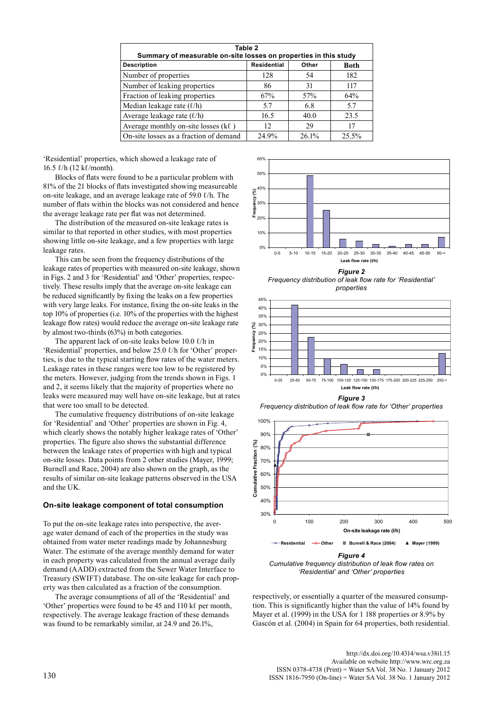| Table 2<br>Summary of measurable on-site losses on properties in this study |                    |       |       |  |  |  |
|-----------------------------------------------------------------------------|--------------------|-------|-------|--|--|--|
| <b>Description</b>                                                          | <b>Residential</b> | Other | Both  |  |  |  |
| Number of properties                                                        | 128                | 54    | 182   |  |  |  |
| Number of leaking properties                                                | 86                 | 31    | 117   |  |  |  |
| Fraction of leaking properties                                              | 67%                | 57%   | 64%   |  |  |  |
| Median leakage rate $(\ell/h)$                                              | 5.7                | 6.8   | 5.7   |  |  |  |
| Average leakage rate $(\ell/h)$                                             | 16.5               | 40.0  | 23.5  |  |  |  |
| Average monthly on-site losses $(k\ell)$                                    | 12                 | 29    | 17    |  |  |  |
| On-site losses as a fraction of demand                                      | 24.9%              | 26.1% | 25.5% |  |  |  |

'Residential' properties, which showed a leakage rate of  $16.5 \ell/h$  (12 k $\ell$ /month).

Blocks of flats were found to be a particular problem with 81% of the 21 blocks of flats investigated showing measureable on-site leakage, and an average leakage rate of 59.0 ℓ/h. The number of flats within the blocks was not considered and hence the average leakage rate per flat was not determined.

The distribution of the measured on-site leakage rates is similar to that reported in other studies, with most properties showing little on-site leakage, and a few properties with large leakage rates.

This can be seen from the frequency distributions of the leakage rates of properties with measured on-site leakage, shown in Figs. 2 and 3 for 'Residential' and 'Other' properties, respectively. These results imply that the average on-site leakage can be reduced significantly by fixing the leaks on a few properties with very large leaks. For instance, fixing the on-site leaks in the top 10% of properties (i.e. 10% of the properties with the highest leakage flow rates) would reduce the average on-site leakage rate by almost two-thirds (63%) in both categories.

The apparent lack of on-site leaks below 10.0  $\ell$ /h in 'Residential' properties, and below 25.0 ℓ/h for 'Other' properties, is due to the typical starting flow rates of the water meters. Leakage rates in these ranges were too low to be registered by the meters. However, judging from the trends shown in Figs. 1 and 2, it seems likely that the majority of properties where no leaks were measured may well have on-site leakage, but at rates that were too small to be detected.

The cumulative frequency distributions of on-site leakage for 'Residential' and 'Other' properties are shown in Fig. 4, which clearly shows the notably higher leakage rates of 'Other' properties. The figure also shows the substantial difference between the leakage rates of properties with high and typical on-site losses. Data points from 2 other studies (Mayer, 1999; Burnell and Race, 2004) are also shown on the graph, as the results of similar on-site leakage patterns observed in the USA and the UK.

#### **On-site leakage component of total consumption**

To put the on-site leakage rates into perspective, the average water demand of each of the properties in the study was obtained from water meter readings made by Johannesburg Water. The estimate of the average monthly demand for water in each property was calculated from the annual average daily demand (AADD) extracted from the Sewer Water Interface to Treasury (SWIFT) database. The on-site leakage for each property was then calculated as a fraction of the consumption.

The average consumptions of all of the 'Residential' and 'Other' properties were found to be 45 and 110 kℓ per month, respectively. The average leakage fraction of these demands was found to be remarkably similar, at 24.9 and 26.1%,



*Figure 2 Frequency distribution of leak flow rate for 'Residential' properties* 



*Frequency distribution of leak flow rate for 'Other' properties* 



*Cumulative frequency distribution of leak flow rates on 'Residential' and 'Other' properties* 

respectively, or essentially a quarter of the measured consumption. This is significantly higher than the value of 14% found by Mayer et al. (1999) in the USA for 1 188 properties or 8.9% by Gascón et al. (2004) in Spain for 64 properties, both residential.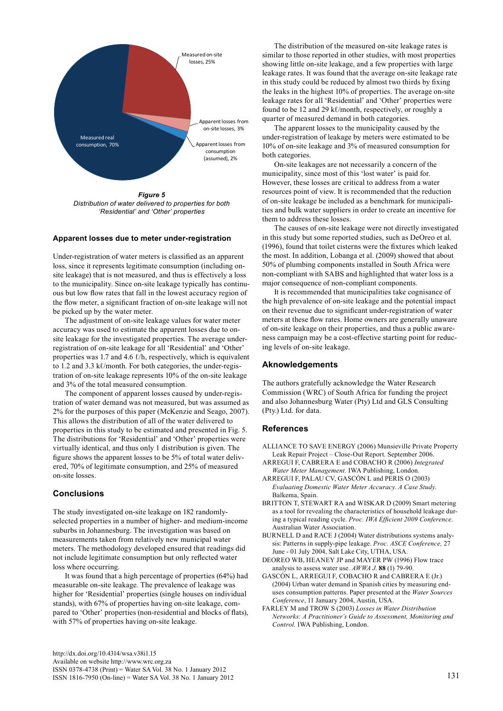

#### **Apparent losses due to meter under-registration**

Under-registration of water meters is classified as an apparent loss, since it represents legitimate consumption (including onsite leakage) that is not measured, and thus is effectively a loss to the municipality. Since on-site leakage typically has continuous but low flow rates that fall in the lowest accuracy region of the flow meter, a significant fraction of on-site leakage will not be picked up by the water meter.

The adjustment of on-site leakage values for water meter accuracy was used to estimate the apparent losses due to onsite leakage for the investigated properties. The average underregistration of on-site leakage for all 'Residential' and 'Other' properties was 1.7 and 4.6  $\ell/h$ , respectively, which is equivalent to 1.2 and 3.3 kℓ/month. For both categories, the under-registration of on-site leakage represents 10% of the on-site leakage and 3% of the total measured consumption.

The component of apparent losses caused by under-registration of water demand was not measured, but was assumed as 2% for the purposes of this paper (McKenzie and Seago, 2007). This allows the distribution of all of the water delivered to properties in this study to be estimated and presented in Fig. 5. The distributions for 'Residential' and 'Other' properties were virtually identical, and thus only 1 distribution is given. The figure shows the apparent losses to be 5% of total water delivered, 70% of legitimate consumption, and 25% of measured on-site losses.

# **Conclusions**

The study investigated on-site leakage on 182 randomlyselected properties in a number of higher- and medium-income suburbs in Johannesburg. The investigation was based on measurements taken from relatively new municipal water meters. The methodology developed ensured that readings did not include legitimate consumption but only reflected water loss where occurring.

It was found that a high percentage of properties (64%) had measurable on-site leakage. The prevalence of leakage was higher for 'Residential' properties (single houses on individual stands), with 67% of properties having on-site leakage, compared to 'Other' properties (non-residential and blocks of flats), with 57% of properties having on-site leakage.

[http://dx.doi.org/10.4314/wsa.v38i1.15](http://dx.doi.org/10.4314/wsa.v37i4.18) Available on website http://www.wrc.org.za ISSN 0378-4738 (Print) = Water SA Vol. 38 No. 1 January 2012 ISSN 1816-7950 (On-line) = Water SA Vol. 38 No. 1 January 2012 131

The distribution of the measured on-site leakage rates is similar to those reported in other studies, with most properties showing little on-site leakage, and a few properties with large leakage rates. It was found that the average on-site leakage rate in this study could be reduced by almost two thirds by fixing the leaks in the highest 10% of properties. The average on-site leakage rates for all 'Residential' and 'Other' properties were found to be 12 and 29 kℓ/month, respectively, or roughly a quarter of measured demand in both categories.

The apparent losses to the municipality caused by the under-registration of leakage by meters were estimated to be 10% of on-site leakage and 3% of measured consumption for both categories.

On-site leakages are not necessarily a concern of the municipality, since most of this 'lost water' is paid for. However, these losses are critical to address from a water resources point of view. It is recommended that the reduction of on-site leakage be included as a benchmark for municipalities and bulk water suppliers in order to create an incentive for them to address these losses.

The causes of on-site leakage were not directly investigated in this study but some reported studies, such as DeOreo et al. (1996), found that toilet cisterns were the fixtures which leaked the most. In addition, Lobanga et al. (2009) showed that about 50% of plumbing components installed in South Africa were non-compliant with SABS and highlighted that water loss is a major consequence of non-compliant components.

It is recommended that municipalities take cognisance of the high prevalence of on-site leakage and the potential impact on their revenue due to significant under-registration of water meters at these flow rates. Home owners are generally unaware of on-site leakage on their properties, and thus a public awareness campaign may be a cost-effective starting point for reducing levels of on-site leakage.

## **Aknowledgements**

The authors gratefully acknowledge the Water Research Commission (WRC) of South Africa for funding the project and also Johannesburg Water (Pty) Ltd and GLS Consulting (Pty.) Ltd. for data.

## **References**

- ALLIANCE TO SAVE ENERGY (2006) Munsieville Private Property Leak Repair Project – Close-Out Report. September 2006.
- ARREGUI F, CABRERA E and COBACHO R (2006) *Integrated Water Meter Management.* IWA Publishing, London.
- ARREGUI F, PALAU CV, GASCÓN L and PERIS O (2003) *Evaluating Domestic Water Meter Accuracy*. *A Case Study*. Balkema, Spain.
- BRITTON T, STEWART RA and WISKAR D (2009) Smart metering as a tool for revealing the characteristics of household leakage during a typical reading cycle. *Proc. IWA Efficient 2009 Conference*. Australian Water Association.
- BURNELL D and RACE J (2004) Water distributions systems analysis: Patterns in supply-pipe leakage. *Proc. ASCE Conference,* 27 June - 01 July 2004, Salt Lake City, UTHA, USA.
- DEOREO WB, HEANEY JP and MAYER PW (1996) Flow trace analysis to assess water use. *AWWA J*. **88** (1) 79-90.
- GASCÓN L, ARREGUI F, COBACHO R and CABRERA E (Jr.) (2004) Urban water demand in Spanish cities by measuring enduses consumption patterns. Paper presented at the *Water Sources Conference*, 11 January 2004, Austin, USA.
- FARLEY M and TROW S (2003) *Losses in Water Distribution Networks: A Practitioner's Guide to Assessment, Monitoring and Control.* IWA Publishing, London.